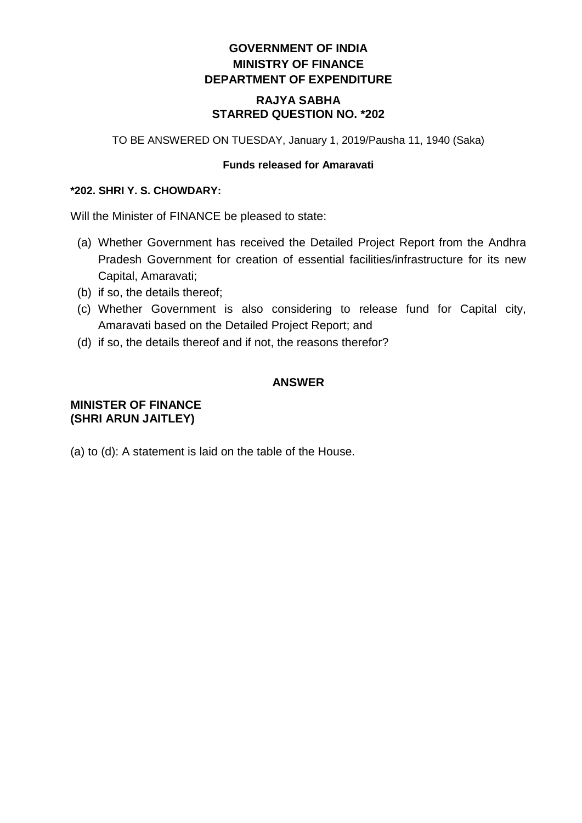# **GOVERNMENT OF INDIA MINISTRY OF FINANCE DEPARTMENT OF EXPENDITURE**

### **RAJYA SABHA STARRED QUESTION NO. \*202**

TO BE ANSWERED ON TUESDAY, January 1, 2019/Pausha 11, 1940 (Saka)

#### **Funds released for Amaravati**

#### **\*202. SHRI Y. S. CHOWDARY:**

Will the Minister of FINANCE be pleased to state:

- (a) Whether Government has received the Detailed Project Report from the Andhra Pradesh Government for creation of essential facilities/infrastructure for its new Capital, Amaravati;
- (b) if so, the details thereof;
- (c) Whether Government is also considering to release fund for Capital city, Amaravati based on the Detailed Project Report; and
- (d) if so, the details thereof and if not, the reasons therefor?

### **ANSWER**

## **MINISTER OF FINANCE (SHRI ARUN JAITLEY)**

(a) to (d): A statement is laid on the table of the House.